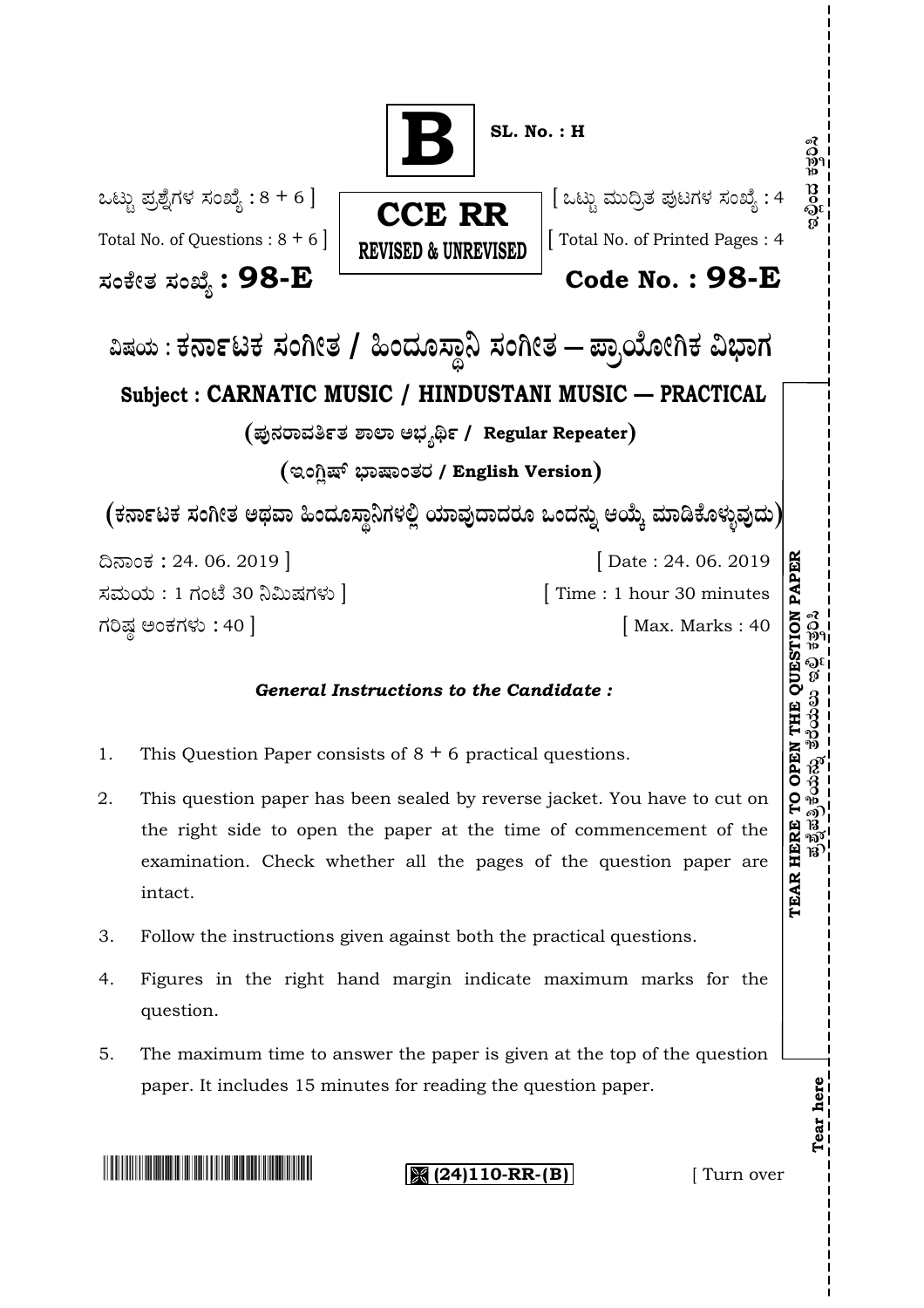

- 1. This Question Paper consists of  $8 + 6$  practical questions.
- 2. This question paper has been sealed by reverse jacket. You have to cut on the right side to open the paper at the time of commencement of the examination. Check whether all the pages of the question paper are intact.
- 3. Follow the instructions given against both the practical questions.
- 4. Figures in the right hand margin indicate maximum marks for the question.
- 5. The maximum time to answer the paper is given at the top of the question paper. It includes 15 minutes for reading the question paper.

**(24)110-RR-(B)** [ Turn over

**Tear here**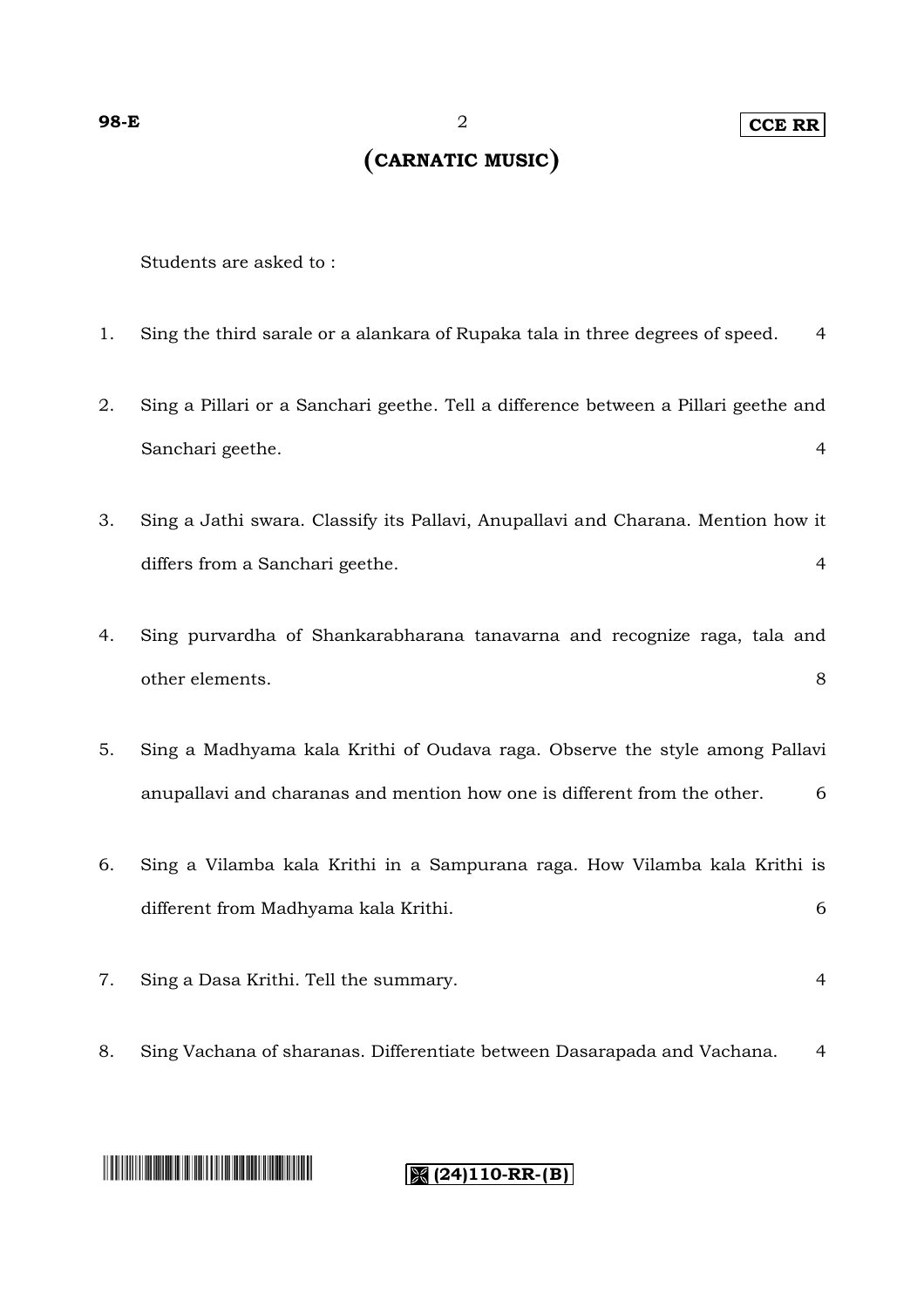# **CARNATIC MUSIC**

Students are asked to :

- 1. Sing the third sarale or a alankara of Rupaka tala in three degrees of speed. 4
- 2. Sing a Pillari or a Sanchari geethe. Tell a difference between a Pillari geethe and Sanchari geethe. 4
- 3. Sing a Jathi swara. Classify its Pallavi, Anupallavi and Charana. Mention how it differs from a Sanchari geethe. 4
- 4. Sing purvardha of Shankarabharana tanavarna and recognize raga, tala and other elements. 8
- 5. Sing a Madhyama kala Krithi of Oudava raga. Observe the style among Pallavi anupallavi and charanas and mention how one is different from the other. 6
- 6. Sing a Vilamba kala Krithi in a Sampurana raga. How Vilamba kala Krithi is different from Madhyama kala Krithi. 6
- 7. Sing a Dasa Krithi. Tell the summary. 4
- 8. Sing Vachana of sharanas. Differentiate between Dasarapada and Vachana. 4

# **The Community of Community**

#### **(24)110-RR-(B)**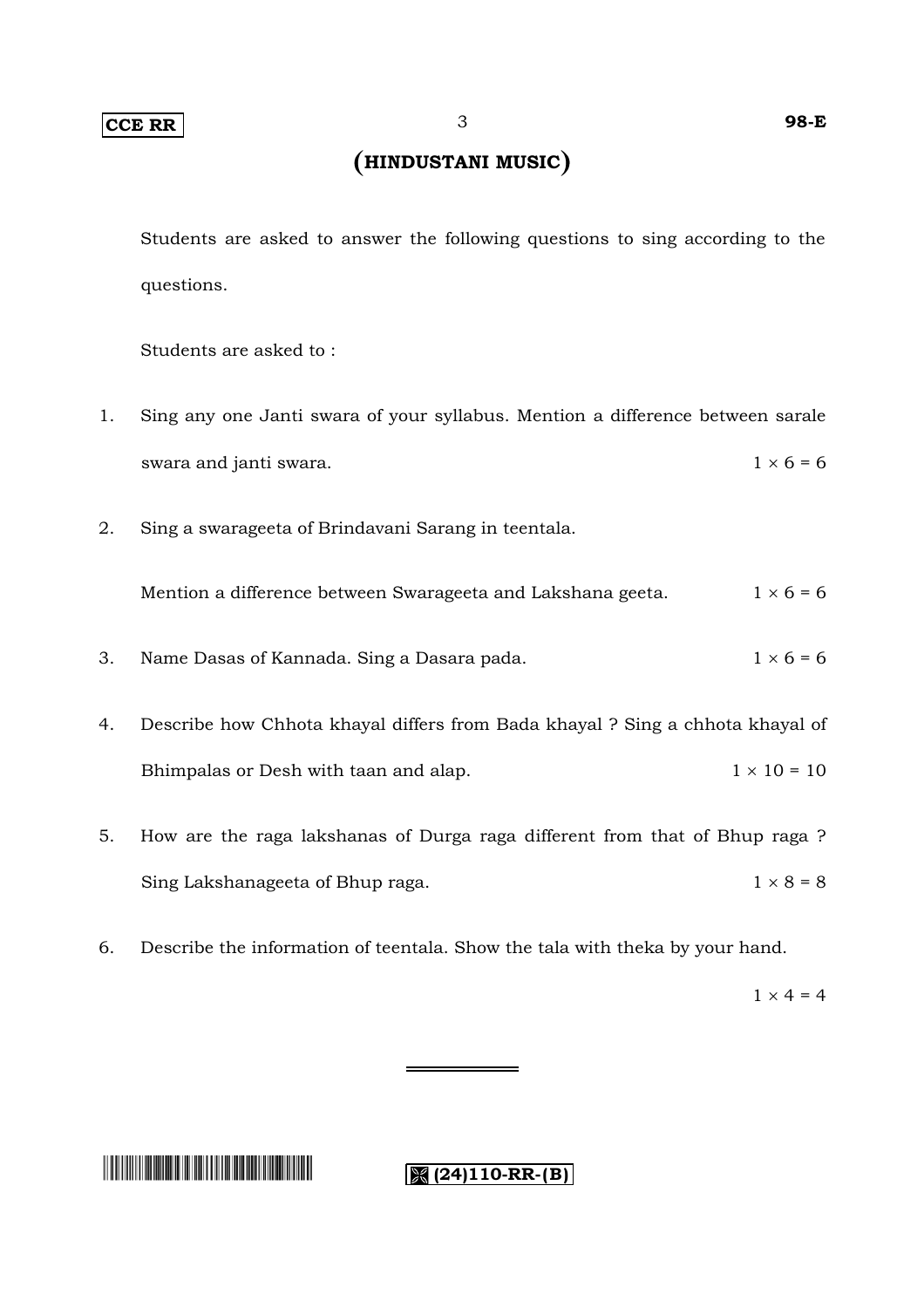### **HINDUSTANI MUSIC**

Students are asked to answer the following questions to sing according to the questions.

Students are asked to :

- 1. Sing any one Janti swara of your syllabus. Mention a difference between sarale swara and janti swara.  $1 \times 6 = 6$
- 2. Sing a swarageeta of Brindavani Sarang in teentala.

Mention a difference between Swarageeta and Lakshana geeta.  $1 \times 6 = 6$ 

- 3. Name Dasas of Kannada. Sing a Dasara pada.  $1 \times 6 = 6$
- 4. Describe how Chhota khayal differs from Bada khayal ? Sing a chhota khayal of Bhimpalas or Desh with taan and alap.  $1 \times 10 = 10$
- 5. How are the raga lakshanas of Durga raga different from that of Bhup raga ? Sing Lakshanageeta of Bhup raga.  $1 \times 8 = 8$
- 6. Describe the information of teentala. Show the tala with theka by your hand.

 $1 \times 4 = 4$ 

# **The Community of Community**

**8** (24)110-RR-(B)